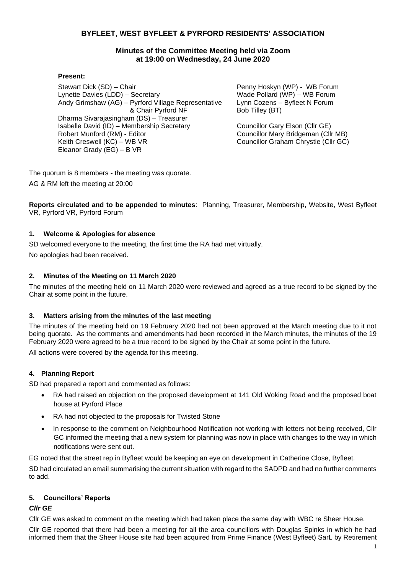# **BYFLEET, WEST BYFLEET & PYRFORD RESIDENTS' ASSOCIATION**

# **Minutes of the Committee Meeting held via Zoom at 19:00 on Wednesday, 24 June 2020**

#### **Present:**

Stewart Dick (SD) – Chair Lynette Davies (LDD) – Secretary Andy Grimshaw (AG) – Pyrford Village Representative & Chair Pyrford NF Dharma Sivarajasingham (DS) – Treasurer Isabelle David (ID) – Membership Secretary Robert Munford (RM) - Editor Keith Creswell (KC) – WB VR Eleanor Grady (EG) – B VR

Penny Hoskyn (WP) - WB Forum Wade Pollard (WP) – WB Forum Lynn Cozens – Byfleet N Forum Bob Tilley (BT)

Councillor Gary Elson (Cllr GE) Councillor Mary Bridgeman (Cllr MB) Councillor Graham Chrystie (Cllr GC)

The quorum is 8 members - the meeting was quorate.

AG & RM left the meeting at 20:00

**Reports circulated and to be appended to minutes**: Planning, Treasurer, Membership, Website, West Byfleet VR, Pyrford VR, Pyrford Forum

# **1. Welcome & Apologies for absence**

SD welcomed everyone to the meeting, the first time the RA had met virtually.

No apologies had been received.

# **2. Minutes of the Meeting on 11 March 2020**

The minutes of the meeting held on 11 March 2020 were reviewed and agreed as a true record to be signed by the Chair at some point in the future.

# **3. Matters arising from the minutes of the last meeting**

The minutes of the meeting held on 19 February 2020 had not been approved at the March meeting due to it not being quorate. As the comments and amendments had been recorded in the March minutes, the minutes of the 19 February 2020 were agreed to be a true record to be signed by the Chair at some point in the future.

All actions were covered by the agenda for this meeting.

# **4. Planning Report**

SD had prepared a report and commented as follows:

- RA had raised an objection on the proposed development at 141 Old Woking Road and the proposed boat house at Pyrford Place
- RA had not objected to the proposals for Twisted Stone
- In response to the comment on Neighbourhood Notification not working with letters not being received, Cllr GC informed the meeting that a new system for planning was now in place with changes to the way in which notifications were sent out.

EG noted that the street rep in Byfleet would be keeping an eye on development in Catherine Close, Byfleet.

SD had circulated an email summarising the current situation with regard to the SADPD and had no further comments to add.

#### **5. Councillors' Reports**

# *Cllr GE*

Cllr GE was asked to comment on the meeting which had taken place the same day with WBC re Sheer House.

Cllr GE reported that there had been a meeting for all the area councillors with Douglas Spinks in which he had informed them that the Sheer House site had been acquired from Prime Finance (West Byfleet) SarL by Retirement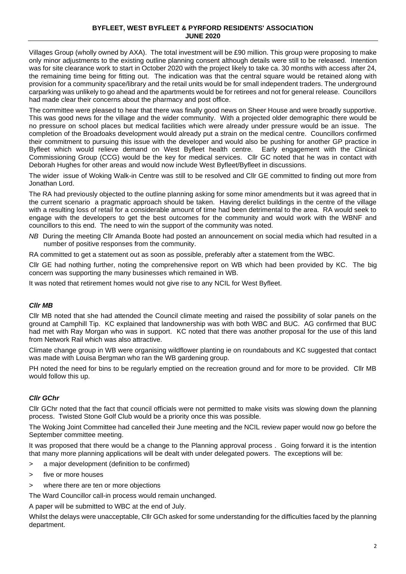Villages Group (wholly owned by AXA). The total investment will be £90 million. This group were proposing to make only minor adjustments to the existing outline planning consent although details were still to be released. Intention was for site clearance work to start in October 2020 with the project likely to take ca. 30 months with access after 24, the remaining time being for fitting out. The indication was that the central square would be retained along with provision for a community space/library and the retail units would be for small independent traders. The underground carparking was unlikely to go ahead and the apartments would be for retirees and not for general release. Councillors had made clear their concerns about the pharmacy and post office.

The committee were pleased to hear that there was finally good news on Sheer House and were broadly supportive. This was good news for the village and the wider community. With a projected older demographic there would be no pressure on school places but medical facilities which were already under pressure would be an issue. The completion of the Broadoaks development would already put a strain on the medical centre. Councillors confirmed their commitment to pursuing this issue with the developer and would also be pushing for another GP practice in Byfleet which would relieve demand on West Byfleet health centre. Early engagement with the Clinical Commissioning Group (CCG) would be the key for medical services. Cllr GC noted that he was in contact with Deborah Hughes for other areas and would now include West Byfleet/Byfleet in discussions.

The wider issue of Woking Walk-in Centre was still to be resolved and Cllr GE committed to finding out more from Jonathan Lord.

The RA had previously objected to the outline planning asking for some minor amendments but it was agreed that in the current scenario a pragmatic approach should be taken. Having derelict buildings in the centre of the village with a resulting loss of retail for a considerable amount of time had been detrimental to the area. RA would seek to engage with the developers to get the best outcomes for the community and would work with the WBNF and councillors to this end. The need to win the support of the community was noted.

*NB* During the meeting Cllr Amanda Boote had posted an announcement on social media which had resulted in a number of positive responses from the community.

RA committed to get a statement out as soon as possible, preferably after a statement from the WBC.

Cllr GE had nothing further, noting the comprehensive report on WB which had been provided by KC. The big concern was supporting the many businesses which remained in WB.

It was noted that retirement homes would not give rise to any NCIL for West Byfleet.

#### *Cllr MB*

Cllr MB noted that she had attended the Council climate meeting and raised the possibility of solar panels on the ground at Camphill Tip. KC explained that landownership was with both WBC and BUC. AG confirmed that BUC had met with Ray Morgan who was in support. KC noted that there was another proposal for the use of this land from Network Rail which was also attractive.

Climate change group in WB were organising wildflower planting ie on roundabouts and KC suggested that contact was made with Louisa Bergman who ran the WB gardening group.

PH noted the need for bins to be regularly emptied on the recreation ground and for more to be provided. Cllr MB would follow this up.

#### *Cllr GChr*

Cllr GChr noted that the fact that council officials were not permitted to make visits was slowing down the planning process. Twisted Stone Golf Club would be a priority once this was possible.

The Woking Joint Committee had cancelled their June meeting and the NCIL review paper would now go before the September committee meeting.

It was proposed that there would be a change to the Planning approval process . Going forward it is the intention that many more planning applications will be dealt with under delegated powers. The exceptions will be:

- > a major development (definition to be confirmed)
- > five or more houses
- > where there are ten or more objections

The Ward Councillor call-in process would remain unchanged.

A paper will be submitted to WBC at the end of July.

Whilst the delays were unacceptable, Cllr GCh asked for some understanding for the difficulties faced by the planning department.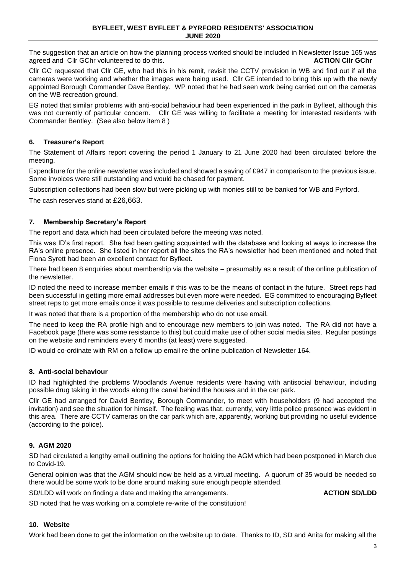The suggestion that an article on how the planning process worked should be included in Newsletter Issue 165 was<br>adreed and Cllr GChr volunteered to do this. agreed and Cllr GChr volunteered to do this.

Cllr GC requested that Cllr GE, who had this in his remit, revisit the CCTV provision in WB and find out if all the cameras were working and whether the images were being used. Cllr GE intended to bring this up with the newly appointed Borough Commander Dave Bentley. WP noted that he had seen work being carried out on the cameras on the WB recreation ground.

EG noted that similar problems with anti-social behaviour had been experienced in the park in Byfleet, although this was not currently of particular concern. Cllr GE was willing to facilitate a meeting for interested residents with Commander Bentley. (See also below item 8 )

#### **6. Treasurer's Report**

The Statement of Affairs report covering the period 1 January to 21 June 2020 had been circulated before the meeting.

Expenditure for the online newsletter was included and showed a saving of £947 in comparison to the previous issue. Some invoices were still outstanding and would be chased for payment.

Subscription collections had been slow but were picking up with monies still to be banked for WB and Pyrford.

The cash reserves stand at £26,663.

#### **7. Membership Secretary's Report**

The report and data which had been circulated before the meeting was noted.

This was ID's first report. She had been getting acquainted with the database and looking at ways to increase the RA's online presence. She listed in her report all the sites the RA's newsletter had been mentioned and noted that Fiona Syrett had been an excellent contact for Byfleet.

There had been 8 enquiries about membership via the website – presumably as a result of the online publication of the newsletter.

ID noted the need to increase member emails if this was to be the means of contact in the future. Street reps had been successful in getting more email addresses but even more were needed. EG committed to encouraging Byfleet street reps to get more emails once it was possible to resume deliveries and subscription collections.

It was noted that there is a proportion of the membership who do not use email.

The need to keep the RA profile high and to encourage new members to join was noted. The RA did not have a Facebook page (there was some resistance to this) but could make use of other social media sites. Regular postings on the website and reminders every 6 months (at least) were suggested.

ID would co-ordinate with RM on a follow up email re the online publication of Newsletter 164.

# **8. Anti-social behaviour**

ID had highlighted the problems Woodlands Avenue residents were having with antisocial behaviour, including possible drug taking in the woods along the canal behind the houses and in the car park.

Cllr GE had arranged for David Bentley, Borough Commander, to meet with householders (9 had accepted the invitation) and see the situation for himself. The feeling was that, currently, very little police presence was evident in this area. There are CCTV cameras on the car park which are, apparently, working but providing no useful evidence (according to the police).

#### **9. AGM 2020**

SD had circulated a lengthy email outlining the options for holding the AGM which had been postponed in March due to Covid-19.

General opinion was that the AGM should now be held as a virtual meeting. A quorum of 35 would be needed so there would be some work to be done around making sure enough people attended.

SD/LDD will work on finding a date and making the arrangements. **ACTION SD/LDD**

SD noted that he was working on a complete re-write of the constitution!

#### **10. Website**

Work had been done to get the information on the website up to date. Thanks to ID, SD and Anita for making all the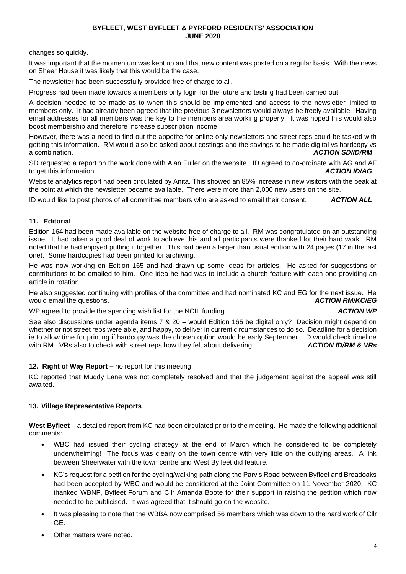changes so quickly.

It was important that the momentum was kept up and that new content was posted on a regular basis. With the news on Sheer House it was likely that this would be the case.

The newsletter had been successfully provided free of charge to all.

Progress had been made towards a members only login for the future and testing had been carried out.

A decision needed to be made as to when this should be implemented and access to the newsletter limited to members only. It had already been agreed that the previous 3 newsletters would always be freely available. Having email addresses for all members was the key to the members area working properly. It was hoped this would also boost membership and therefore increase subscription income.

However, there was a need to find out the appetite for online only newsletters and street reps could be tasked with getting this information. RM would also be asked about costings and the savings to be made digital vs hardcopy vs<br>**ACTION SD/ID/RM** a combination. *ACTION SD/ID/RM*

SD requested a report on the work done with Alan Fuller on the website. ID agreed to co-ordinate with AG and AF<br>**ACTION ID/AG** to get this information.

Website analytics report had been circulated by Anita. This showed an 85% increase in new visitors with the peak at the point at which the newsletter became available. There were more than 2,000 new users on the site.

ID would like to post photos of all committee members who are asked to email their consent. *ACTION ALL*

# **11. Editorial**

Edition 164 had been made available on the website free of charge to all. RM was congratulated on an outstanding issue. It had taken a good deal of work to achieve this and all participants were thanked for their hard work. RM noted that he had enjoyed putting it together. This had been a larger than usual edition with 24 pages (17 in the last one). Some hardcopies had been printed for archiving.

He was now working on Edition 165 and had drawn up some ideas for articles. He asked for suggestions or contributions to be emailed to him. One idea he had was to include a church feature with each one providing an article in rotation.

He also suggested continuing with profiles of the committee and had nominated KC and EG for the next issue. He would email the questions. *ACTION RM/KC/EG*

WP agreed to provide the spending wish list for the NCIL funding. **ACTION WP ACTION WP** 

#### See also discussions under agenda items 7 & 20 – would Edition 165 be digital only? Decision might depend on whether or not street reps were able, and happy, to deliver in current circumstances to do so. Deadline for a decision ie to allow time for printing if hardcopy was the chosen option would be early September. ID would check timeline with RM. VRs also to check with street reps how they felt about delivering. *ACTION ID/RM & VRs*

# **12. Right of Way Report –** no report for this meeting

KC reported that Muddy Lane was not completely resolved and that the judgement against the appeal was still awaited.

#### **13. Village Representative Reports**

**West Byfleet** – a detailed report from KC had been circulated prior to the meeting. He made the following additional comments:

- WBC had issued their cycling strategy at the end of March which he considered to be completely underwhelming! The focus was clearly on the town centre with very little on the outlying areas. A link between Sheerwater with the town centre and West Byfleet did feature.
- KC's request for a petition for the cycling/walking path along the Parvis Road between Byfleet and Broadoaks had been accepted by WBC and would be considered at the Joint Committee on 11 November 2020. KC thanked WBNF, Byfleet Forum and Cllr Amanda Boote for their support in raising the petition which now needed to be publicised. It was agreed that it should go on the website.
- It was pleasing to note that the WBBA now comprised 56 members which was down to the hard work of Cllr GE.
- Other matters were noted.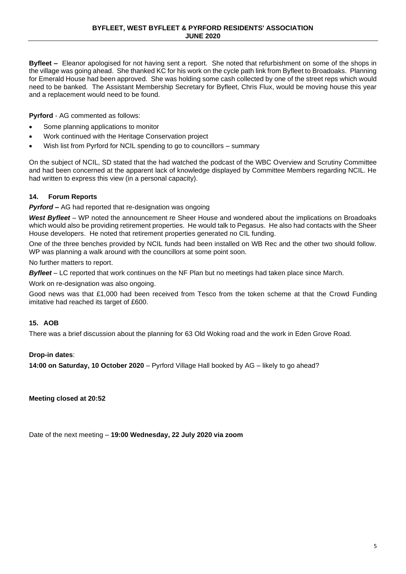**Byfleet –** Eleanor apologised for not having sent a report. She noted that refurbishment on some of the shops in the village was going ahead. She thanked KC for his work on the cycle path link from Byfleet to Broadoaks. Planning for Emerald House had been approved. She was holding some cash collected by one of the street reps which would need to be banked. The Assistant Membership Secretary for Byfleet, Chris Flux, would be moving house this year and a replacement would need to be found.

**Pyrford** - AG commented as follows:

- Some planning applications to monitor
- Work continued with the Heritage Conservation project
- Wish list from Pyrford for NCIL spending to go to councillors summary

On the subject of NCIL, SD stated that the had watched the podcast of the WBC Overview and Scrutiny Committee and had been concerned at the apparent lack of knowledge displayed by Committee Members regarding NCIL. He had written to express this view (in a personal capacity).

# **14. Forum Reports**

*Pyrford* – AG had reported that re-designation was ongoing

*West Byfleet* – WP noted the announcement re Sheer House and wondered about the implications on Broadoaks which would also be providing retirement properties. He would talk to Pegasus. He also had contacts with the Sheer House developers. He noted that retirement properties generated no CIL funding.

One of the three benches provided by NCIL funds had been installed on WB Rec and the other two should follow. WP was planning a walk around with the councillors at some point soon.

No further matters to report.

*Byfleet* – LC reported that work continues on the NF Plan but no meetings had taken place since March.

Work on re-designation was also ongoing.

Good news was that £1,000 had been received from Tesco from the token scheme at that the Crowd Funding imitative had reached its target of £600.

#### **15. AOB**

There was a brief discussion about the planning for 63 Old Woking road and the work in Eden Grove Road.

#### **Drop-in dates**:

**14:00 on Saturday, 10 October 2020** – Pyrford Village Hall booked by AG – likely to go ahead?

**Meeting closed at 20:52** 

Date of the next meeting – **19:00 Wednesday, 22 July 2020 via zoom**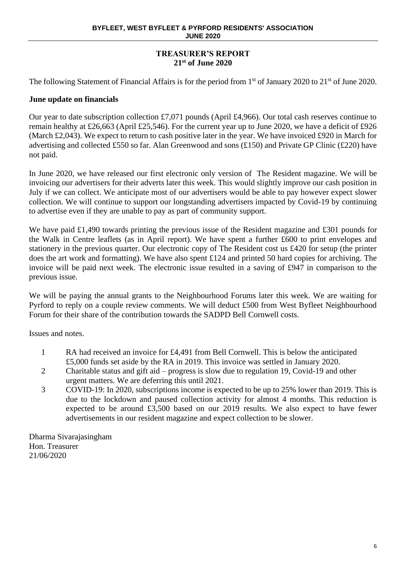# **TREASURER'S REPORT 21st of June 2020**

The following Statement of Financial Affairs is for the period from 1<sup>st</sup> of January 2020 to 21<sup>st</sup> of June 2020.

# **June update on financials**

Our year to date subscription collection £7,071 pounds (April £4,966). Our total cash reserves continue to remain healthy at £26,663 (April £25,546). For the current year up to June 2020, we have a deficit of £926 (March £2,043). We expect to return to cash positive later in the year. We have invoiced £920 in March for advertising and collected £550 so far. Alan Greenwood and sons (£150) and Private GP Clinic (£220) have not paid.

In June 2020, we have released our first electronic only version of The Resident magazine. We will be invoicing our advertisers for their adverts later this week. This would slightly improve our cash position in July if we can collect. We anticipate most of our advertisers would be able to pay however expect slower collection. We will continue to support our longstanding advertisers impacted by Covid-19 by continuing to advertise even if they are unable to pay as part of community support.

We have paid £1,490 towards printing the previous issue of the Resident magazine and £301 pounds for the Walk in Centre leaflets (as in April report). We have spent a further £600 to print envelopes and stationery in the previous quarter. Our electronic copy of The Resident cost us £420 for setup (the printer does the art work and formatting). We have also spent £124 and printed 50 hard copies for archiving. The invoice will be paid next week. The electronic issue resulted in a saving of £947 in comparison to the previous issue.

We will be paying the annual grants to the Neighbourhood Forums later this week. We are waiting for Pyrford to reply on a couple review comments. We will deduct £500 from West Byfleet Neighbourhood Forum for their share of the contribution towards the SADPD Bell Cornwell costs.

Issues and notes.

- 1 RA had received an invoice for £4,491 from Bell Cornwell. This is below the anticipated £5,000 funds set aside by the RA in 2019. This invoice was settled in January 2020.
- 2 Charitable status and gift aid progress is slow due to regulation 19, Covid-19 and other urgent matters. We are deferring this until 2021.
- 3 COVID-19: In 2020, subscriptions income is expected to be up to 25% lower than 2019. This is due to the lockdown and paused collection activity for almost 4 months. This reduction is expected to be around £3,500 based on our 2019 results. We also expect to have fewer advertisements in our resident magazine and expect collection to be slower.

Dharma Sivarajasingham Hon. Treasurer 21/06/2020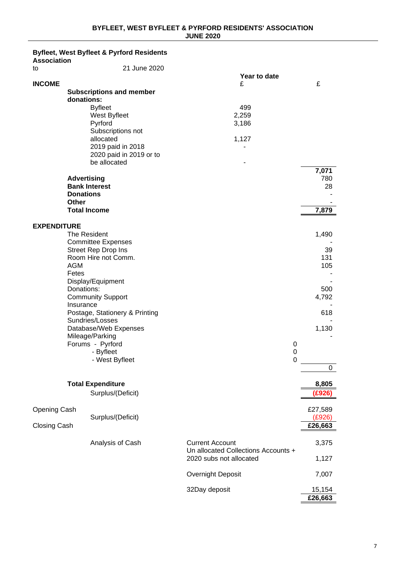#### **Byfleet, West Byfleet & Pyrford Residents**

| <b>Association</b><br>to | 21 June 2020                                                                                                                                                                                 |                                                               |                    |
|--------------------------|----------------------------------------------------------------------------------------------------------------------------------------------------------------------------------------------|---------------------------------------------------------------|--------------------|
|                          |                                                                                                                                                                                              | Year to date                                                  |                    |
| <b>INCOME</b>            | <b>Subscriptions and member</b><br>donations:<br><b>Byfleet</b><br>West Byfleet<br>Pyrford<br>Subscriptions not<br>allocated<br>2019 paid in 2018<br>2020 paid in 2019 or to<br>be allocated | £<br>499<br>2,259<br>3,186<br>1,127                           | £<br>7,071         |
|                          | <b>Advertising</b><br><b>Bank Interest</b><br><b>Donations</b><br><b>Other</b><br><b>Total Income</b>                                                                                        |                                                               | 780<br>28<br>7,879 |
| <b>EXPENDITURE</b>       |                                                                                                                                                                                              |                                                               |                    |
|                          | The Resident<br><b>Committee Expenses</b>                                                                                                                                                    |                                                               | 1,490              |
|                          | Street Rep Drop Ins<br>Room Hire not Comm.<br><b>AGM</b><br>Fetes                                                                                                                            |                                                               | 39<br>131<br>105   |
|                          | Display/Equipment<br>Donations:<br><b>Community Support</b><br>Insurance                                                                                                                     |                                                               | 500<br>4,792       |
|                          | Postage, Stationery & Printing<br>Sundries/Losses<br>Database/Web Expenses                                                                                                                   |                                                               | 618<br>1,130       |
|                          | Mileage/Parking<br>Forums - Pyrford<br>- Byfleet<br>- West Byfleet                                                                                                                           | 0<br>0<br>0                                                   |                    |
|                          |                                                                                                                                                                                              |                                                               | 0                  |
|                          | <b>Total Expenditure</b><br>Surplus/(Deficit)                                                                                                                                                |                                                               | 8,805<br>(£926)    |
| <b>Opening Cash</b>      |                                                                                                                                                                                              |                                                               | £27,589            |
| Closing Cash             | Surplus/(Deficit)                                                                                                                                                                            |                                                               | (E926)<br>£26,663  |
|                          | Analysis of Cash                                                                                                                                                                             | <b>Current Account</b><br>Un allocated Collections Accounts + | 3,375              |
|                          |                                                                                                                                                                                              | 2020 subs not allocated                                       | 1,127              |
|                          |                                                                                                                                                                                              | Overnight Deposit                                             | 7,007              |
|                          |                                                                                                                                                                                              | 32Day deposit                                                 | 15,154<br>£26,663  |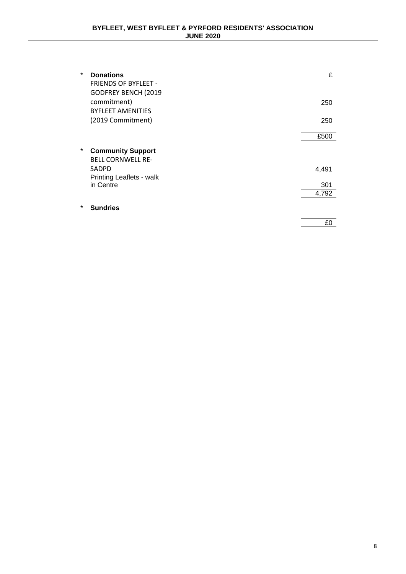| * | <b>Donations</b><br><b>FRIENDS OF BYFLEET -</b><br><b>GODFREY BENCH (2019</b> | £            |
|---|-------------------------------------------------------------------------------|--------------|
|   | commitment)<br><b>BYFLEET AMENITIES</b>                                       | 250          |
|   | (2019 Commitment)                                                             | 250          |
|   |                                                                               | £500         |
| * | <b>Community Support</b><br><b>BELL CORNWELL RE-</b>                          |              |
|   | <b>SADPD</b>                                                                  | 4,491        |
|   | Printing Leaflets - walk<br>in Centre                                         | 301<br>4,792 |
| * | <b>Sundries</b>                                                               |              |
|   |                                                                               | £0           |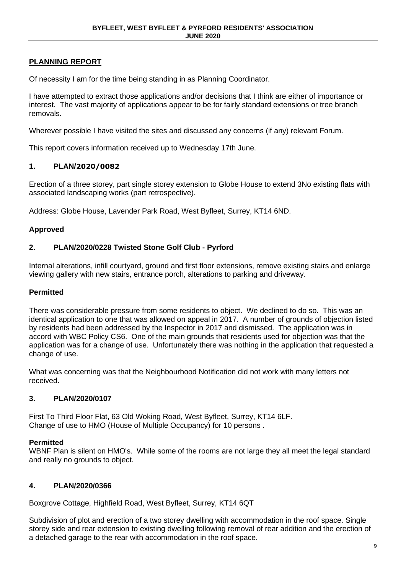# **PLANNING REPORT**

Of necessity I am for the time being standing in as Planning Coordinator.

I have attempted to extract those applications and/or decisions that I think are either of importance or interest. The vast majority of applications appear to be for fairly standard extensions or tree branch removals.

Wherever possible I have visited the sites and discussed any concerns (if any) relevant Forum.

This report covers information received up to Wednesday 17th June.

# **1. PLAN/2020/0082**

Erection of a three storey, part single storey extension to Globe House to extend 3No existing flats with associated landscaping works (part retrospective).

Address: Globe House, Lavender Park Road, West Byfleet, Surrey, KT14 6ND.

# **Approved**

# **2. PLAN/2020/0228 Twisted Stone Golf Club - Pyrford**

Internal alterations, infill courtyard, ground and first floor extensions, remove existing stairs and enlarge viewing gallery with new stairs, entrance porch, alterations to parking and driveway.

#### **Permitted**

There was considerable pressure from some residents to object. We declined to do so. This was an identical application to one that was allowed on appeal in 2017. A number of grounds of objection listed by residents had been addressed by the Inspector in 2017 and dismissed. The application was in accord with WBC Policy CS6. One of the main grounds that residents used for objection was that the application was for a change of use. Unfortunately there was nothing in the application that requested a change of use.

What was concerning was that the Neighbourhood Notification did not work with many letters not received.

# **3. PLAN/2020/0107**

First To Third Floor Flat, 63 Old Woking Road, West Byfleet, Surrey, KT14 6LF. Change of use to HMO (House of Multiple Occupancy) for 10 persons .

#### **Permitted**

WBNF Plan is silent on HMO's. While some of the rooms are not large they all meet the legal standard and really no grounds to object.

# **4. PLAN/2020/0366**

Boxgrove Cottage, Highfield Road, West Byfleet, Surrey, KT14 6QT

Subdivision of plot and erection of a two storey dwelling with accommodation in the roof space. Single storey side and rear extension to existing dwelling following removal of rear addition and the erection of a detached garage to the rear with accommodation in the roof space.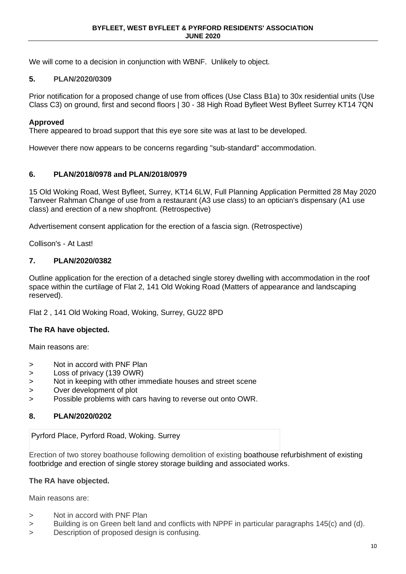We will come to a decision in conjunction with WBNF. Unlikely to object.

# **5. PLAN/2020/0309**

Prior notification for a proposed change of use from offices (Use Class B1a) to 30x residential units (Use Class C3) on ground, first and second floors | 30 - 38 High Road Byfleet West Byfleet Surrey KT14 7QN

# **Approved**

There appeared to broad support that this eye sore site was at last to be developed.

However there now appears to be concerns regarding "sub-standard" accommodation.

# **6. PLAN/2018/0978 and PLAN/2018/0979**

15 Old Woking Road, West Byfleet, Surrey, KT14 6LW, Full Planning Application Permitted 28 May 2020 Tanveer Rahman Change of use from a restaurant (A3 use class) to an optician's dispensary (A1 use class) and erection of a new shopfront. (Retrospective)

Advertisement consent application for the erection of a fascia sign. (Retrospective)

Collison's - At Last!

# **7. PLAN/2020/0382**

Outline application for the erection of a detached single storey dwelling with accommodation in the roof space within the curtilage of Flat 2, 141 Old Woking Road (Matters of appearance and landscaping reserved).

Flat 2 , 141 Old Woking Road, Woking, Surrey, GU22 8PD

# **The RA have objected.**

Main reasons are:

- > Not in accord with PNF Plan
- > Loss of privacy (139 OWR)
- > Not in keeping with other immediate houses and street scene
- > Over development of plot
- > Possible problems with cars having to reverse out onto OWR.

# **8. PLAN/2020/0202**

Pyrford Place, Pyrford Road, Woking. Surrey

Erection of two storey boathouse following demolition of existing boathouse refurbishment of existing footbridge and erection of single storey storage building and associated works.

#### **The RA have objected.**

Main reasons are:

- > Not in accord with PNF Plan
- > Building is on Green belt land and conflicts with NPPF in particular paragraphs 145(c) and (d).
- > Description of proposed design is confusing.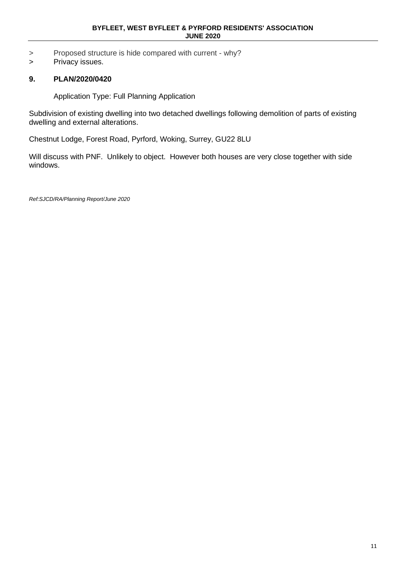- > Proposed structure is hide compared with current why?
- > Privacy issues.

# **9. PLAN/2020/0420**

Application Type: Full Planning Application

Subdivision of existing dwelling into two detached dwellings following demolition of parts of existing dwelling and external alterations.

Chestnut Lodge, Forest Road, Pyrford, Woking, Surrey, GU22 8LU

Will discuss with PNF. Unlikely to object. However both houses are very close together with side windows.

*Ref:SJCD/RA/Planning Report/June 2020*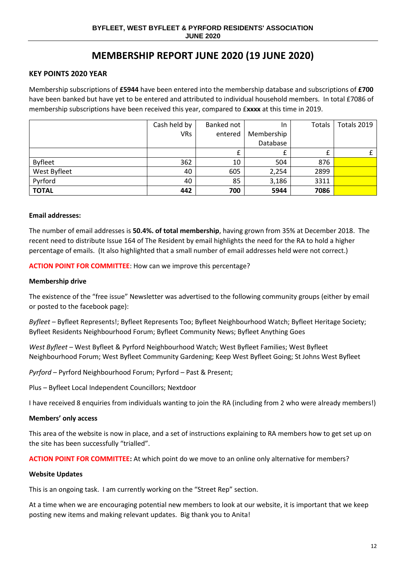# **MEMBERSHIP REPORT JUNE 2020 (19 JUNE 2020)**

# **KEY POINTS 2020 YEAR**

Membership subscriptions of **£5944** have been entered into the membership database and subscriptions of **£700**  have been banked but have yet to be entered and attributed to individual household members. In total £7086 of membership subscriptions have been received this year, compared to £**xxxx** at this time in 2019.

|                | Cash held by | Banked not | In.        | Totals | Totals 2019 |
|----------------|--------------|------------|------------|--------|-------------|
|                | <b>VRs</b>   | entered    | Membership |        |             |
|                |              |            | Database   |        |             |
|                |              |            |            |        |             |
| <b>Byfleet</b> | 362          | 10         | 504        | 876    |             |
| West Byfleet   | 40           | 605        | 2,254      | 2899   |             |
| Pyrford        | 40           | 85         | 3,186      | 3311   |             |
| <b>TOTAL</b>   | 442          | 700        | 5944       | 7086   |             |

#### **Email addresses:**

The number of email addresses is **50.4%. of total membership**, having grown from 35% at December 2018. The recent need to distribute Issue 164 of The Resident by email highlights the need for the RA to hold a higher percentage of emails. (It also highlighted that a small number of email addresses held were not correct.)

**ACTION POINT FOR COMMITTEE**: How can we improve this percentage?

#### **Membership drive**

The existence of the "free issue" Newsletter was advertised to the following community groups (either by email or posted to the facebook page):

*Byfleet* – Byfleet Represents!; Byfleet Represents Too; Byfleet Neighbourhood Watch; Byfleet Heritage Society; Byfleet Residents Neighbourhood Forum; Byfleet Community News; Byfleet Anything Goes

*West Byfleet* – West Byfleet & Pyrford Neighbourhood Watch; West Byfleet Families; West Byfleet Neighbourhood Forum; West Byfleet Community Gardening; Keep West Byfleet Going; St Johns West Byfleet

*Pyrford* – Pyrford Neighbourhood Forum; Pyrford – Past & Present;

Plus – Byfleet Local Independent Councillors; Nextdoor

I have received 8 enquiries from individuals wanting to join the RA (including from 2 who were already members!)

#### **Members' only access**

This area of the website is now in place, and a set of instructions explaining to RA members how to get set up on the site has been successfully "trialled".

**ACTION POINT FOR COMMITTEE:** At which point do we move to an online only alternative for members?

#### **Website Updates**

This is an ongoing task. I am currently working on the "Street Rep" section.

At a time when we are encouraging potential new members to look at our website, it is important that we keep posting new items and making relevant updates. Big thank you to Anita!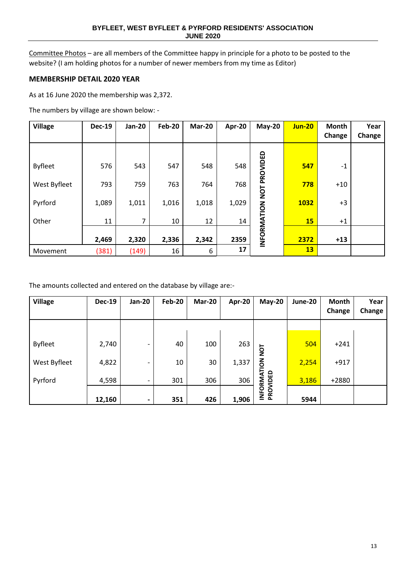Committee Photos – are all members of the Committee happy in principle for a photo to be posted to the website? (I am holding photos for a number of newer members from my time as Editor)

# **MEMBERSHIP DETAIL 2020 YEAR**

As at 16 June 2020 the membership was 2,372.

The numbers by village are shown below: -

| <b>Village</b> | <b>Dec-19</b> | <b>Jan-20</b> | <b>Feb-20</b> | <b>Mar-20</b> | Apr-20 | <b>May-20</b> | <b>Jun-20</b> | Month  | Year   |
|----------------|---------------|---------------|---------------|---------------|--------|---------------|---------------|--------|--------|
|                |               |               |               |               |        |               |               | Change | Change |
|                |               |               |               |               |        |               |               |        |        |
| <b>Byfleet</b> | 576           | 543           | 547           | 548           | 548    | PROVIDED      | 547           | $-1$   |        |
| West Byfleet   | 793           | 759           | 763           | 764           | 768    | TON           | 778           | $+10$  |        |
| Pyrford        | 1,089         | 1,011         | 1,016         | 1,018         | 1,029  |               | 1032          | $+3$   |        |
| Other          | 11            | 7             | 10            | 12            | 14     |               | <b>15</b>     | $+1$   |        |
|                | 2,469         | 2,320         | 2,336         | 2,342         | 2359   | INFORMATION   | 2372          | $+13$  |        |
| Movement       | (381)         | (149)         | 16            | 6             | 17     |               | 13            |        |        |

The amounts collected and entered on the database by village are:-

| <b>Village</b> | <b>Dec-19</b> | <b>Jan-20</b>            | <b>Feb-20</b> | Mar-20 | Apr-20 | <b>May-20</b> | June-20 | <b>Month</b> | Year   |
|----------------|---------------|--------------------------|---------------|--------|--------|---------------|---------|--------------|--------|
|                |               |                          |               |        |        |               |         | Change       | Change |
|                |               |                          |               |        |        |               |         |              |        |
| <b>Byfleet</b> | 2,740         | $\overline{\phantom{0}}$ | 40            | 100    | 263    | TON           | 504     | $+241$       |        |
| West Byfleet   | 4,822         | $\overline{\phantom{a}}$ | 10            | 30     | 1,337  | INFORMATION   | 2,254   | $+917$       |        |
| Pyrford        | 4,598         | -                        | 301           | 306    | 306    |               | 3,186   | $+2880$      |        |
|                | 12,160        | $\overline{\phantom{0}}$ | 351           | 426    | 1,906  | PROVIDED      | 5944    |              |        |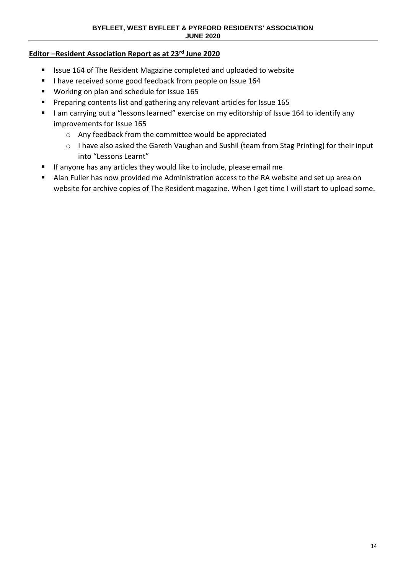# **Editor –Resident Association Report as at 23rd June 2020**

- Issue 164 of The Resident Magazine completed and uploaded to website
- I have received some good feedback from people on Issue 164
- Working on plan and schedule for Issue 165
- Preparing contents list and gathering any relevant articles for Issue 165
- I am carrying out a "lessons learned" exercise on my editorship of Issue 164 to identify any improvements for Issue 165
	- o Any feedback from the committee would be appreciated
	- o I have also asked the Gareth Vaughan and Sushil (team from Stag Printing) for their input into "Lessons Learnt"
- If anyone has any articles they would like to include, please email me
- Alan Fuller has now provided me Administration access to the RA website and set up area on website for archive copies of The Resident magazine. When I get time I will start to upload some.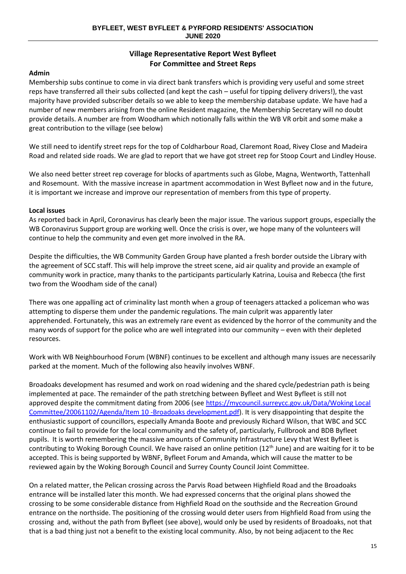# **Village Representative Report West Byfleet For Committee and Street Reps**

# **Admin**

Membership subs continue to come in via direct bank transfers which is providing very useful and some street reps have transferred all their subs collected (and kept the cash – useful for tipping delivery drivers!), the vast majority have provided subscriber details so we able to keep the membership database update. We have had a number of new members arising from the online Resident magazine, the Membership Secretary will no doubt provide details. A number are from Woodham which notionally falls within the WB VR orbit and some make a great contribution to the village (see below)

We still need to identify street reps for the top of Coldharbour Road, Claremont Road, Rivey Close and Madeira Road and related side roads. We are glad to report that we have got street rep for Stoop Court and Lindley House.

We also need better street rep coverage for blocks of apartments such as Globe, Magna, Wentworth, Tattenhall and Rosemount. With the massive increase in apartment accommodation in West Byfleet now and in the future, it is important we increase and improve our representation of members from this type of property.

# **Local issues**

As reported back in April, Coronavirus has clearly been the major issue. The various support groups, especially the WB Coronavirus Support group are working well. Once the crisis is over, we hope many of the volunteers will continue to help the community and even get more involved in the RA.

Despite the difficulties, the WB Community Garden Group have planted a fresh border outside the Library with the agreement of SCC staff. This will help improve the street scene, aid air quality and provide an example of community work in practice, many thanks to the participants particularly Katrina, Louisa and Rebecca (the first two from the Woodham side of the canal)

There was one appalling act of criminality last month when a group of teenagers attacked a policeman who was attempting to disperse them under the pandemic regulations. The main culprit was apparently later apprehended. Fortunately, this was an extremely rare event as evidenced by the horror of the community and the many words of support for the police who are well integrated into our community – even with their depleted resources.

Work with WB Neighbourhood Forum (WBNF) continues to be excellent and although many issues are necessarily parked at the moment. Much of the following also heavily involves WBNF.

Broadoaks development has resumed and work on road widening and the shared cycle/pedestrian path is being implemented at pace. The remainder of the path stretching between Byfleet and West Byfleet is still not approved despite the commitment dating from 2006 (see https://mycouncil.surreycc.gov.uk/Data/Woking Local [Committee/20061102/Agenda/Item 10 -Broadoaks development.pdf\)](https://mycouncil.surreycc.gov.uk/Data/Woking%20Local%20Committee/20061102/Agenda/Item%2010%20-Broadoaks%20development.pdf). It is very disappointing that despite the enthusiastic support of councillors, especially Amanda Boote and previously Richard Wilson, that WBC and SCC continue to fail to provide for the local community and the safety of, particularly, Fullbrook and BDB Byfleet pupils. It is worth remembering the massive amounts of Community Infrastructure Levy that West Byfleet is contributing to Woking Borough Council. We have raised an online petition (12<sup>th</sup> June) and are waiting for it to be accepted. This is being supported by WBNF, Byfleet Forum and Amanda, which will cause the matter to be reviewed again by the Woking Borough Council and Surrey County Council Joint Committee.

On a related matter, the Pelican crossing across the Parvis Road between Highfield Road and the Broadoaks entrance will be installed later this month. We had expressed concerns that the original plans showed the crossing to be some considerable distance from Highfield Road on the southside and the Recreation Ground entrance on the northside. The positioning of the crossing would deter users from Highfield Road from using the crossing and, without the path from Byfleet (see above), would only be used by residents of Broadoaks, not that that is a bad thing just not a benefit to the existing local community. Also, by not being adjacent to the Rec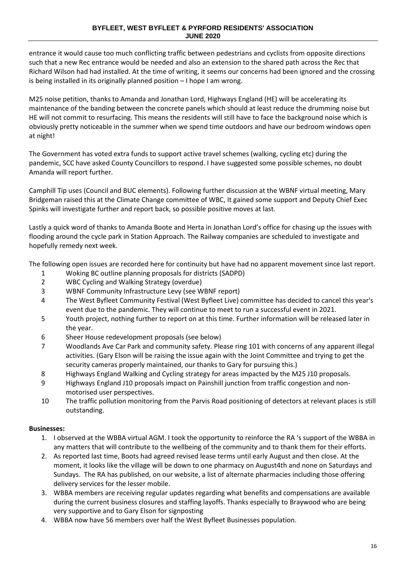entrance it would cause too much conflicting traffic between pedestrians and cyclists from opposite directions such that a new Rec entrance would be needed and also an extension to the shared path across the Rec that Richard Wilson had had installed. At the time of writing, it seems our concerns had been ignored and the crossing is being installed in its originally planned position – I hope I am wrong.

M25 noise petition, thanks to Amanda and Jonathan Lord, Highways England (HE) will be accelerating its maintenance of the banding between the concrete panels which should at least reduce the drumming noise but HE will not commit to resurfacing. This means the residents will still have to face the background noise which is obviously pretty noticeable in the summer when we spend time outdoors and have our bedroom windows open at night!

The Government has voted extra funds to support active travel schemes (walking, cycling etc) during the pandemic, SCC have asked County Councillors to respond. I have suggested some possible schemes, no doubt Amanda will report further.

Camphill Tip uses (Council and BUC elements). Following further discussion at the WBNF virtual meeting, Mary Bridgeman raised this at the Climate Change committee of WBC, It gained some support and Deputy Chief Exec Spinks will investigate further and report back, so possible positive moves at last.

Lastly a quick word of thanks to Amanda Boote and Herta in Jonathan Lord's office for chasing up the issues with flooding around the cycle park in Station Approach. The Railway companies are scheduled to investigate and hopefully remedy next week.

The following open issues are recorded here for continuity but have had no apparent movement since last report.

- 1 Woking BC outline planning proposals for districts (SADPD)
- 2 WBC Cycling and Walking Strategy (overdue)
- 3 WBNF Community Infrastructure Levy (see WBNF report)
- 4 The West Byfleet Community Festival (West Byfleet Live) committee has decided to cancel this year's event due to the pandemic. They will continue to meet to run a successful event in 2021.
- 5 Youth project, nothing further to report on at this time. Further information will be released later in the year.
- 6 Sheer House redevelopment proposals (see below)
- 7 Woodlands Ave Car Park and community safety. Please ring 101 with concerns of any apparent illegal activities. (Gary Elson will be raising the issue again with the Joint Committee and trying to get the security cameras properly maintained, our thanks to Gary for pursuing this.)
- 8 Highways England Walking and Cycling strategy for areas impacted by the M25 J10 proposals.
- 9 Highways England J10 proposals impact on Painshill junction from traffic congestion and nonmotorised user perspectives.
- 10 The traffic pollution monitoring from the Parvis Road positioning of detectors at relevant places is still outstanding.

# **Businesses:**

- 1. I observed at the WBBA virtual AGM. I took the opportunity to reinforce the RA 's support of the WBBA in any matters that will contribute to the wellbeing of the community and to thank them for their efforts.
- 2. As reported last time, Boots had agreed revised lease terms until early August and then close. At the moment, it looks like the village will be down to one pharmacy on August4th and none on Saturdays and Sundays. The RA has published, on our website, a list of alternate pharmacies including those offering delivery services for the lesser mobile.
- 3. WBBA members are receiving regular updates regarding what benefits and compensations are available during the current business closures and staffing layoffs. Thanks especially to Braywood who are being very supportive and to Gary Elson for signposting
- 4. WBBA now have 56 members over half the West Byfleet Businesses population.